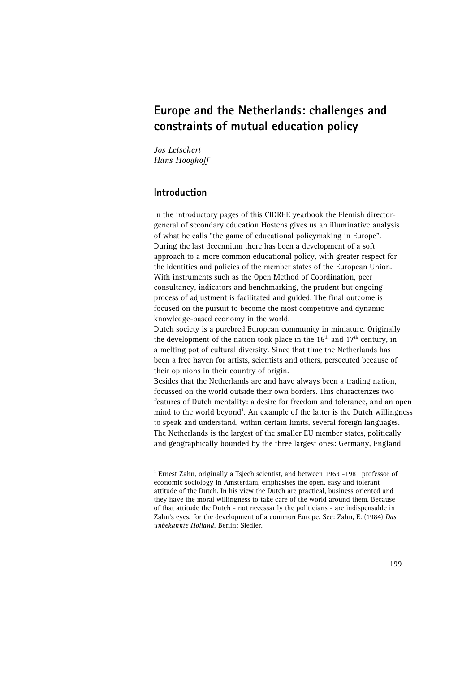# **Europe and the Netherlands: challenges and constraints of mutual education policy**

*Jos Letschert Hans Hooghoff* 

# **Introduction**

In the introductory pages of this CIDREE yearbook the Flemish directorgeneral of secondary education Hostens gives us an illuminative analysis of what he calls "the game of educational policymaking in Europe". During the last decennium there has been a development of a soft approach to a more common educational policy, with greater respect for the identities and policies of the member states of the European Union. With instruments such as the Open Method of Coordination, peer consultancy, indicators and benchmarking, the prudent but ongoing process of adjustment is facilitated and guided. The final outcome is focused on the pursuit to become the most competitive and dynamic knowledge-based economy in the world.

Dutch society is a purebred European community in miniature. Originally the development of the nation took place in the  $16<sup>th</sup>$  and  $17<sup>th</sup>$  century, in a melting pot of cultural diversity. Since that time the Netherlands has been a free haven for artists, scientists and others, persecuted because of their opinions in their country of origin.

Besides that the Netherlands are and have always been a trading nation, focussed on the world outside their own borders. This characterizes two features of Dutch mentality: a desire for freedom and tolerance, and an open mind to the world beyond<sup>1</sup>. An example of the latter is the Dutch willingness to speak and understand, within certain limits, several foreign languages. The Netherlands is the largest of the smaller EU member states, politically and geographically bounded by the three largest ones: Germany, England

<span id="page-0-0"></span> $\frac{1}{1}$ <sup>1</sup> Ernest Zahn, originally a Tsjech scientist, and between 1963 -1981 professor of economic sociology in Amsterdam, emphasises the open, easy and tolerant attitude of the Dutch. In his view the Dutch are practical, business oriented and they have the moral willingness to take care of the world around them. Because of that attitude the Dutch - not necessarily the politicians - are indispensable in Zahn's eyes, for the development of a common Europe. See: Zahn, E. (1984) *Das unbekannte Holland.* Berlin: Siedler.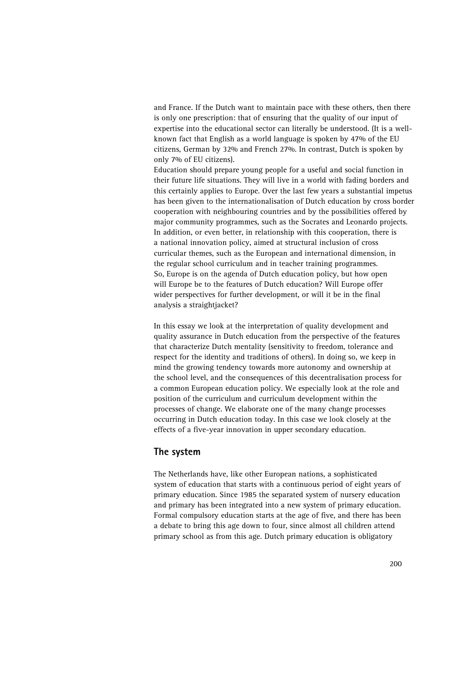and France. If the Dutch want to maintain pace with these others, then there is only one prescription: that of ensuring that the quality of our input of expertise into the educational sector can literally be understood. (It is a wellknown fact that English as a world language is spoken by 47% of the EU citizens, German by 32% and French 27%. In contrast, Dutch is spoken by only 7% of EU citizens).

Education should prepare young people for a useful and social function in their future life situations. They will live in a world with fading borders and this certainly applies to Europe. Over the last few years a substantial impetus has been given to the internationalisation of Dutch education by cross border cooperation with neighbouring countries and by the possibilities offered by major community programmes, such as the Socrates and Leonardo projects. In addition, or even better, in relationship with this cooperation, there is a national innovation policy, aimed at structural inclusion of cross curricular themes, such as the European and international dimension, in the regular school curriculum and in teacher training programmes. So, Europe is on the agenda of Dutch education policy, but how open will Europe be to the features of Dutch education? Will Europe offer wider perspectives for further development, or will it be in the final analysis a straightjacket?

In this essay we look at the interpretation of quality development and quality assurance in Dutch education from the perspective of the features that characterize Dutch mentality (sensitivity to freedom, tolerance and respect for the identity and traditions of others). In doing so, we keep in mind the growing tendency towards more autonomy and ownership at the school level, and the consequences of this decentralisation process for a common European education policy. We especially look at the role and position of the curriculum and curriculum development within the processes of change. We elaborate one of the many change processes occurring in Dutch education today. In this case we look closely at the effects of a five-year innovation in upper secondary education.

## **The system**

The Netherlands have, like other European nations, a sophisticated system of education that starts with a continuous period of eight years of primary education. Since 1985 the separated system of nursery education and primary has been integrated into a new system of primary education. Formal compulsory education starts at the age of five, and there has been a debate to bring this age down to four, since almost all children attend primary school as from this age. Dutch primary education is obligatory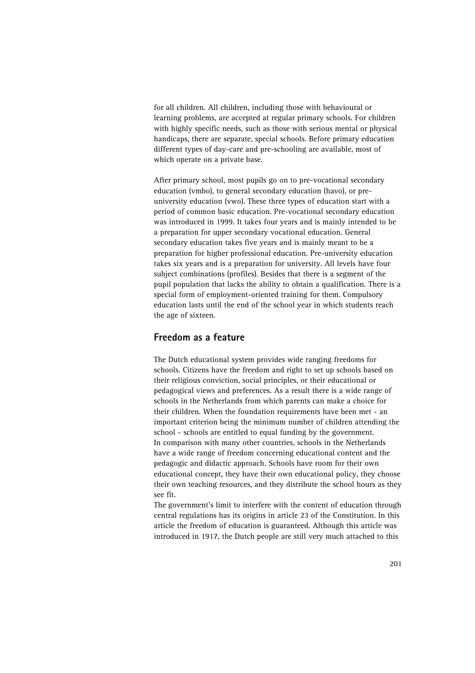for all children. All children, including those with behavioural or learning problems, are accepted at regular primary schools. For children with highly specific needs, such as those with serious mental or physical handicaps, there are separate, special schools. Before primary education different types of day-care and pre-schooling are available, most of which operate on a private base.

After primary school, most pupils go on to pre-vocational secondary education (vmbo), to general secondary education (havo), or preuniversity education (vwo). These three types of education start with a period of common basic education. Pre-vocational secondary education was introduced in 1999. It takes four years and is mainly intended to be a preparation for upper secondary vocational education. General secondary education takes five years and is mainly meant to be a preparation for higher professional education. Pre-university education takes six years and is a preparation for university. All levels have four subject combinations (profiles). Besides that there is a segment of the pupil population that lacks the ability to obtain a qualification. There is a special form of employment-oriented training for them. Compulsory education lasts until the end of the school year in which students reach the age of sixteen.

# **Freedom as a feature**

The Dutch educational system provides wide ranging freedoms for schools. Citizens have the freedom and right to set up schools based on their religious conviction, social principles, or their educational or pedagogical views and preferences. As a result there is a wide range of schools in the Netherlands from which parents can make a choice for their children. When the foundation requirements have been met - an important criterion being the minimum number of children attending the school - schools are entitled to equal funding by the government. In comparison with many other countries, schools in the Netherlands have a wide range of freedom concerning educational content and the pedagogic and didactic approach. Schools have room for their own educational concept, they have their own educational policy, they choose their own teaching resources, and they distribute the school hours as they see fit.

The government's limit to interfere with the content of education through central regulations has its origins in article 23 of the Constitution. In this article the freedom of education is guaranteed. Although this article was introduced in 1917, the Dutch people are still very much attached to this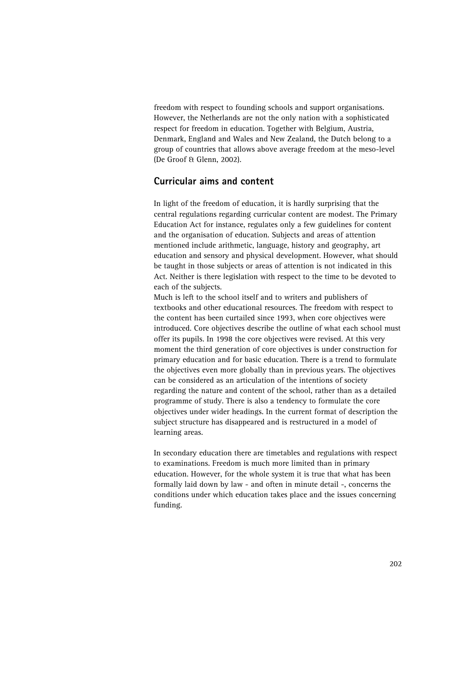freedom with respect to founding schools and support organisations. However, the Netherlands are not the only nation with a sophisticated respect for freedom in education. Together with Belgium, Austria, Denmark, England and Wales and New Zealand, the Dutch belong to a group of countries that allows above average freedom at the meso-level (De Groof & Glenn, 2002).

# **Curricular aims and content**

In light of the freedom of education, it is hardly surprising that the central regulations regarding curricular content are modest. The Primary Education Act for instance, regulates only a few guidelines for content and the organisation of education. Subjects and areas of attention mentioned include arithmetic, language, history and geography, art education and sensory and physical development. However, what should be taught in those subjects or areas of attention is not indicated in this Act. Neither is there legislation with respect to the time to be devoted to each of the subjects.

Much is left to the school itself and to writers and publishers of textbooks and other educational resources. The freedom with respect to the content has been curtailed since 1993, when core objectives were introduced. Core objectives describe the outline of what each school must offer its pupils. In 1998 the core objectives were revised. At this very moment the third generation of core objectives is under construction for primary education and for basic education. There is a trend to formulate the objectives even more globally than in previous years. The objectives can be considered as an articulation of the intentions of society regarding the nature and content of the school, rather than as a detailed programme of study. There is also a tendency to formulate the core objectives under wider headings. In the current format of description the subject structure has disappeared and is restructured in a model of learning areas.

In secondary education there are timetables and regulations with respect to examinations. Freedom is much more limited than in primary education. However, for the whole system it is true that what has been formally laid down by law - and often in minute detail -, concerns the conditions under which education takes place and the issues concerning funding.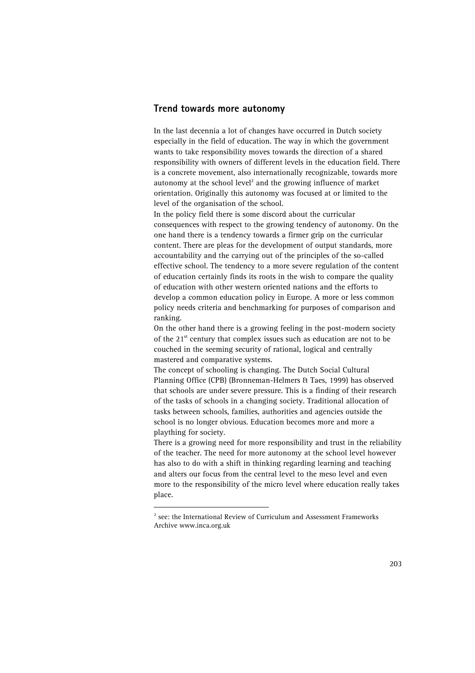#### **Trend towards more autonomy**

In the last decennia a lot of changes have occurred in Dutch society especially in the field of education. The way in which the government wants to take responsibility moves towards the direction of a shared responsibility with owners of different levels in the education field. There is a concrete movement, also internationally recognizable, towards more autonomy at the school level [2](#page-4-0) and the growing influence of market orientation. Originally this autonomy was focused at or limited to the level of the organisation of the school.

In the policy field there is some discord about the curricular consequences with respect to the growing tendency of autonomy. On the one hand there is a tendency towards a firmer grip on the curricular content. There are pleas for the development of output standards, more accountability and the carrying out of the principles of the so-called effective school. The tendency to a more severe regulation of the content of education certainly finds its roots in the wish to compare the quality of education with other western oriented nations and the efforts to develop a common education policy in Europe. A more or less common policy needs criteria and benchmarking for purposes of comparison and ranking.

On the other hand there is a growing feeling in the post-modern society of the  $21<sup>st</sup>$  century that complex issues such as education are not to be couched in the seeming security of rational, logical and centrally mastered and comparative systems.

The concept of schooling is changing. The Dutch Social Cultural Planning Office (CPB) (Bronneman-Helmers & Taes, 1999) has observed that schools are under severe pressure. This is a finding of their research of the tasks of schools in a changing society. Traditional allocation of tasks between schools, families, authorities and agencies outside the school is no longer obvious. Education becomes more and more a plaything for society.

There is a growing need for more responsibility and trust in the reliability of the teacher. The need for more autonomy at the school level however has also to do with a shift in thinking regarding learning and teaching and alters our focus from the central level to the meso level and even more to the responsibility of the micro level where education really takes place.

<span id="page-4-0"></span> $\overline{a}$  $2$  see: the International Review of Curriculum and Assessment Frameworks Archive www.inca.org.uk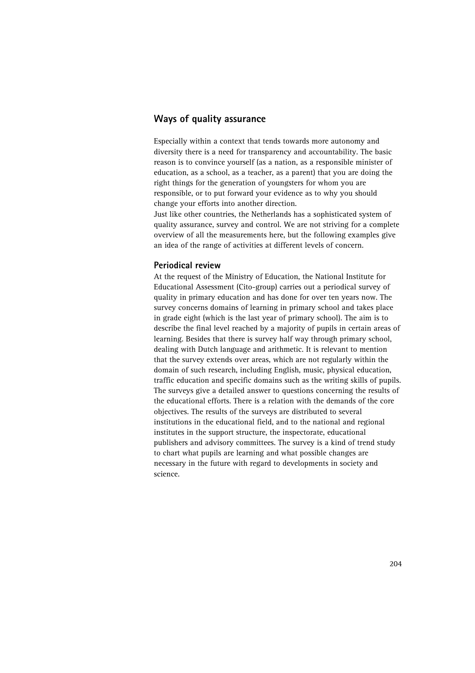# **Ways of quality assurance**

Especially within a context that tends towards more autonomy and diversity there is a need for transparency and accountability. The basic reason is to convince yourself (as a nation, as a responsible minister of education, as a school, as a teacher, as a parent) that you are doing the right things for the generation of youngsters for whom you are responsible, or to put forward your evidence as to why you should change your efforts into another direction.

Just like other countries, the Netherlands has a sophisticated system of quality assurance, survey and control. We are not striving for a complete overview of all the measurements here, but the following examples give an idea of the range of activities at different levels of concern.

#### **Periodical review**

At the request of the Ministry of Education, the National Institute for Educational Assessment (Cito-group) carries out a periodical survey of quality in primary education and has done for over ten years now. The survey concerns domains of learning in primary school and takes place in grade eight (which is the last year of primary school). The aim is to describe the final level reached by a majority of pupils in certain areas of learning. Besides that there is survey half way through primary school, dealing with Dutch language and arithmetic. It is relevant to mention that the survey extends over areas, which are not regularly within the domain of such research, including English, music, physical education, traffic education and specific domains such as the writing skills of pupils. The surveys give a detailed answer to questions concerning the results of the educational efforts. There is a relation with the demands of the core objectives. The results of the surveys are distributed to several institutions in the educational field, and to the national and regional institutes in the support structure, the inspectorate, educational publishers and advisory committees. The survey is a kind of trend study to chart what pupils are learning and what possible changes are necessary in the future with regard to developments in society and science.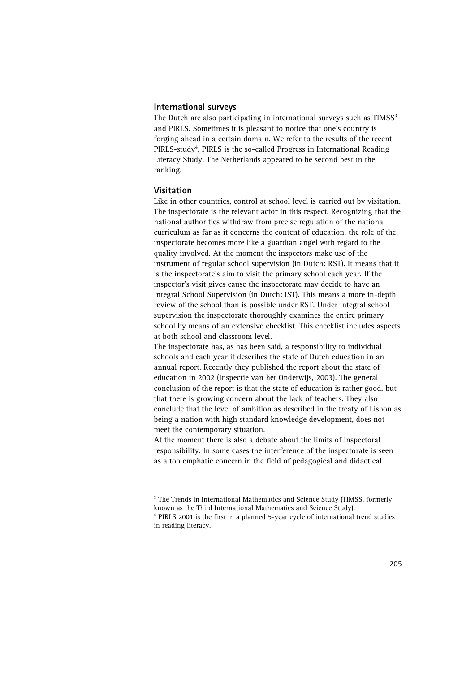#### **International surveys**

The Dutch are also participating in international surveys such as  $\text{TIMSS}^3$ and PIRLS. Sometimes it is pleasant to notice that one's country is forging ahead in a certain domain. We refer to the results of the recent PIRLS-study<sup>4</sup>. PIRLS is the so-called Progress in International Reading Literacy Study. The Netherlands appeared to be second best in the ranking.

#### **Visitation**

Like in other countries, control at school level is carried out by visitation. The inspectorate is the relevant actor in this respect. Recognizing that the national authorities withdraw from precise regulation of the national curriculum as far as it concerns the content of education, the role of the inspectorate becomes more like a guardian angel with regard to the quality involved. At the moment the inspectors make use of the instrument of regular school supervision (in Dutch: RST). It means that it is the inspectorate's aim to visit the primary school each year. If the inspector's visit gives cause the inspectorate may decide to have an Integral School Supervision (in Dutch: IST). This means a more in-depth review of the school than is possible under RST. Under integral school supervision the inspectorate thoroughly examines the entire primary school by means of an extensive checklist. This checklist includes aspects at both school and classroom level.

The inspectorate has, as has been said, a responsibility to individual schools and each year it describes the state of Dutch education in an annual report. Recently they published the report about the state of education in 2002 (Inspectie van het Onderwijs, 2003). The general conclusion of the report is that the state of education is rather good, but that there is growing concern about the lack of teachers. They also conclude that the level of ambition as described in the treaty of Lisbon as being a nation with high standard knowledge development, does not meet the contemporary situation.

At the moment there is also a debate about the limits of inspectoral responsibility. In some cases the interference of the inspectorate is seen as a too emphatic concern in the field of pedagogical and didactical

<span id="page-6-0"></span><sup>|&</sup>lt;br>3 <sup>3</sup> The Trends in International Mathematics and Science Study (TIMSS, formerly known as the Third International Mathematics and Science Study). 4

<span id="page-6-1"></span>PIRLS 2001 is the first in a planned 5-year cycle of international trend studies in reading literacy.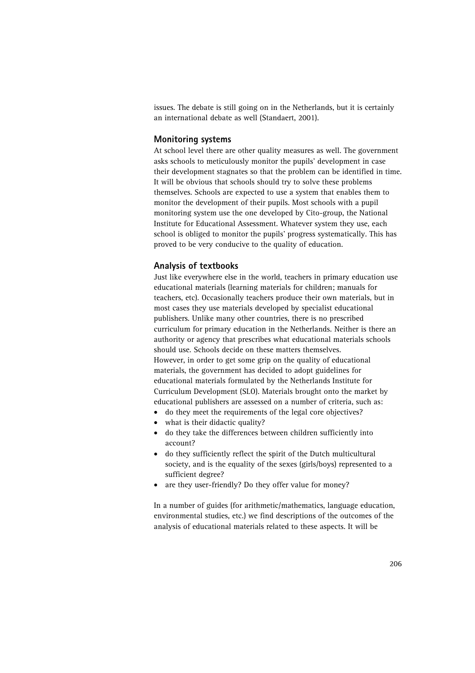issues. The debate is still going on in the Netherlands, but it is certainly an international debate as well (Standaert, 2001).

#### **Monitoring systems**

At school level there are other quality measures as well. The government asks schools to meticulously monitor the pupils' development in case their development stagnates so that the problem can be identified in time. It will be obvious that schools should try to solve these problems themselves. Schools are expected to use a system that enables them to monitor the development of their pupils. Most schools with a pupil monitoring system use the one developed by Cito-group, the National Institute for Educational Assessment. Whatever system they use, each school is obliged to monitor the pupils' progress systematically. This has proved to be very conducive to the quality of education.

#### **Analysis of textbooks**

Just like everywhere else in the world, teachers in primary education use educational materials (learning materials for children; manuals for teachers, etc). Occasionally teachers produce their own materials, but in most cases they use materials developed by specialist educational publishers. Unlike many other countries, there is no prescribed curriculum for primary education in the Netherlands. Neither is there an authority or agency that prescribes what educational materials schools should use. Schools decide on these matters themselves. However, in order to get some grip on the quality of educational materials, the government has decided to adopt guidelines for educational materials formulated by the Netherlands Institute for Curriculum Development (SLO). Materials brought onto the market by educational publishers are assessed on a number of criteria, such as:

- do they meet the requirements of the legal core objectives?
- what is their didactic quality?
- do they take the differences between children sufficiently into account?
- do they sufficiently reflect the spirit of the Dutch multicultural society, and is the equality of the sexes (girls/boys) represented to a sufficient degree?
- are they user-friendly? Do they offer value for money?

In a number of guides (for arithmetic/mathematics, language education, environmental studies, etc.) we find descriptions of the outcomes of the analysis of educational materials related to these aspects. It will be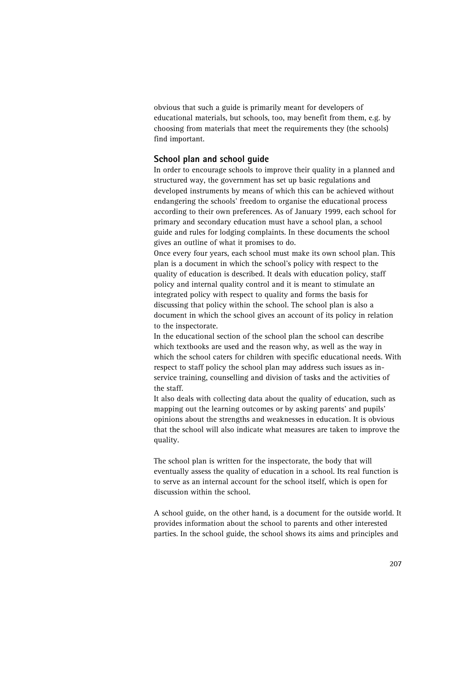obvious that such a guide is primarily meant for developers of educational materials, but schools, too, may benefit from them, e.g. by choosing from materials that meet the requirements they (the schools) find important.

#### **School plan and school guide**

In order to encourage schools to improve their quality in a planned and structured way, the government has set up basic regulations and developed instruments by means of which this can be achieved without endangering the schools' freedom to organise the educational process according to their own preferences. As of January 1999, each school for primary and secondary education must have a school plan, a school guide and rules for lodging complaints. In these documents the school gives an outline of what it promises to do.

Once every four years, each school must make its own school plan. This plan is a document in which the school's policy with respect to the quality of education is described. It deals with education policy, staff policy and internal quality control and it is meant to stimulate an integrated policy with respect to quality and forms the basis for discussing that policy within the school. The school plan is also a document in which the school gives an account of its policy in relation to the inspectorate.

In the educational section of the school plan the school can describe which textbooks are used and the reason why, as well as the way in which the school caters for children with specific educational needs. With respect to staff policy the school plan may address such issues as inservice training, counselling and division of tasks and the activities of the staff.

It also deals with collecting data about the quality of education, such as mapping out the learning outcomes or by asking parents' and pupils' opinions about the strengths and weaknesses in education. It is obvious that the school will also indicate what measures are taken to improve the quality.

The school plan is written for the inspectorate, the body that will eventually assess the quality of education in a school. Its real function is to serve as an internal account for the school itself, which is open for discussion within the school.

A school guide, on the other hand, is a document for the outside world. It provides information about the school to parents and other interested parties. In the school guide, the school shows its aims and principles and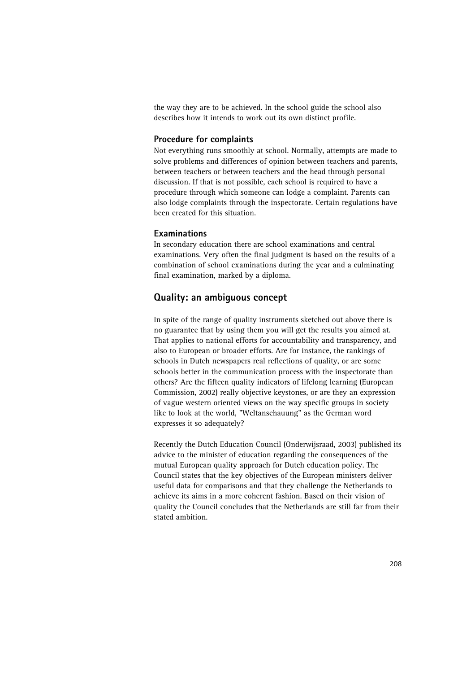the way they are to be achieved. In the school guide the school also describes how it intends to work out its own distinct profile.

## **Procedure for complaints**

Not everything runs smoothly at school. Normally, attempts are made to solve problems and differences of opinion between teachers and parents, between teachers or between teachers and the head through personal discussion. If that is not possible, each school is required to have a procedure through which someone can lodge a complaint. Parents can also lodge complaints through the inspectorate. Certain regulations have been created for this situation.

## **Examinations**

In secondary education there are school examinations and central examinations. Very often the final judgment is based on the results of a combination of school examinations during the year and a culminating final examination, marked by a diploma.

# **Quality: an ambiguous concept**

In spite of the range of quality instruments sketched out above there is no guarantee that by using them you will get the results you aimed at. That applies to national efforts for accountability and transparency, and also to European or broader efforts. Are for instance, the rankings of schools in Dutch newspapers real reflections of quality, or are some schools better in the communication process with the inspectorate than others? Are the fifteen quality indicators of lifelong learning (European Commission, 2002) really objective keystones, or are they an expression of vague western oriented views on the way specific groups in society like to look at the world, "Weltanschauung" as the German word expresses it so adequately?

Recently the Dutch Education Council (Onderwijsraad, 2003) published its advice to the minister of education regarding the consequences of the mutual European quality approach for Dutch education policy. The Council states that the key objectives of the European ministers deliver useful data for comparisons and that they challenge the Netherlands to achieve its aims in a more coherent fashion. Based on their vision of quality the Council concludes that the Netherlands are still far from their stated ambition.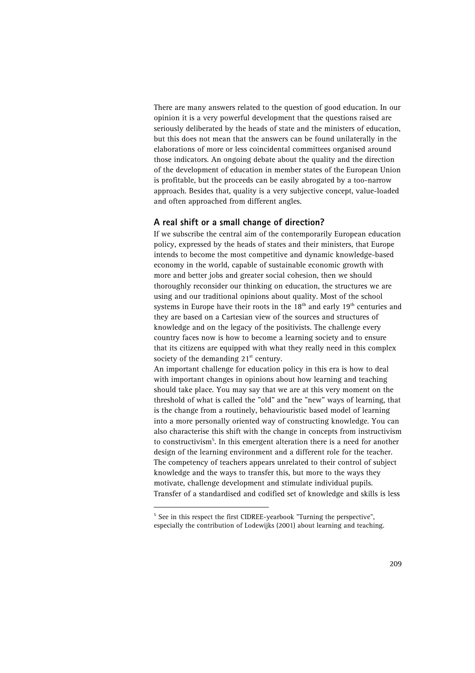There are many answers related to the question of good education. In our opinion it is a very powerful development that the questions raised are seriously deliberated by the heads of state and the ministers of education, but this does not mean that the answers can be found unilaterally in the elaborations of more or less coincidental committees organised around those indicators. An ongoing debate about the quality and the direction of the development of education in member states of the European Union is profitable, but the proceeds can be easily abrogated by a too-narrow approach. Besides that, quality is a very subjective concept, value-loaded and often approached from different angles.

#### **A real shift or a small change of direction?**

If we subscribe the central aim of the contemporarily European education policy, expressed by the heads of states and their ministers, that Europe intends to become the most competitive and dynamic knowledge-based economy in the world, capable of sustainable economic growth with more and better jobs and greater social cohesion, then we should thoroughly reconsider our thinking on education, the structures we are using and our traditional opinions about quality. Most of the school systems in Europe have their roots in the  $18<sup>th</sup>$  and early  $19<sup>th</sup>$  centuries and they are based on a Cartesian view of the sources and structures of knowledge and on the legacy of the positivists. The challenge every country faces now is how to become a learning society and to ensure that its citizens are equipped with what they really need in this complex society of the demanding  $21<sup>st</sup>$  century.

An important challenge for education policy in this era is how to deal with important changes in opinions about how learning and teaching should take place. You may say that we are at this very moment on the threshold of what is called the "old" and the "new" ways of learning, that is the change from a routinely, behaviouristic based model of learning into a more personally oriented way of constructing knowledge. You can also characterise this shift with the change in concepts from instructivism to constructivism<sup>5</sup>. In this emergent alteration there is a need for another design of the learning environment and a different role for the teacher. The competency of teachers appears unrelated to their control of subject knowledge and the ways to transfer this, but more to the ways they motivate, challenge development and stimulate individual pupils. Transfer of a standardised and codified set of knowledge and skills is less

<span id="page-10-0"></span> <sup>5</sup>  $5$  See in this respect the first CIDREE-yearbook "Turning the perspective", especially the contribution of Lodewijks (2001) about learning and teaching.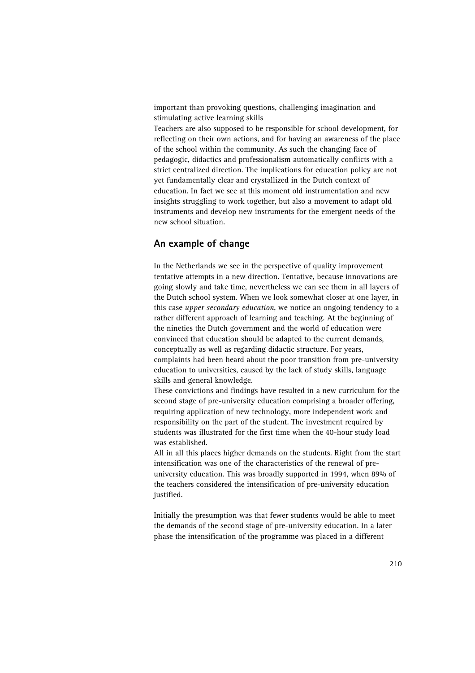important than provoking questions, challenging imagination and stimulating active learning skills

Teachers are also supposed to be responsible for school development, for reflecting on their own actions, and for having an awareness of the place of the school within the community. As such the changing face of pedagogic, didactics and professionalism automatically conflicts with a strict centralized direction. The implications for education policy are not yet fundamentally clear and crystallized in the Dutch context of education. In fact we see at this moment old instrumentation and new insights struggling to work together, but also a movement to adapt old instruments and develop new instruments for the emergent needs of the new school situation.

## **An example of change**

In the Netherlands we see in the perspective of quality improvement tentative attempts in a new direction. Tentative, because innovations are going slowly and take time, nevertheless we can see them in all layers of the Dutch school system. When we look somewhat closer at one layer, in this case *upper secondary education*, we notice an ongoing tendency to a rather different approach of learning and teaching. At the beginning of the nineties the Dutch government and the world of education were convinced that education should be adapted to the current demands, conceptually as well as regarding didactic structure. For years, complaints had been heard about the poor transition from pre-university education to universities, caused by the lack of study skills, language skills and general knowledge.

These convictions and findings have resulted in a new curriculum for the second stage of pre-university education comprising a broader offering, requiring application of new technology, more independent work and responsibility on the part of the student. The investment required by students was illustrated for the first time when the 40-hour study load was established.

All in all this places higher demands on the students. Right from the start intensification was one of the characteristics of the renewal of preuniversity education. This was broadly supported in 1994, when 89% of the teachers considered the intensification of pre-university education justified.

Initially the presumption was that fewer students would be able to meet the demands of the second stage of pre-university education. In a later phase the intensification of the programme was placed in a different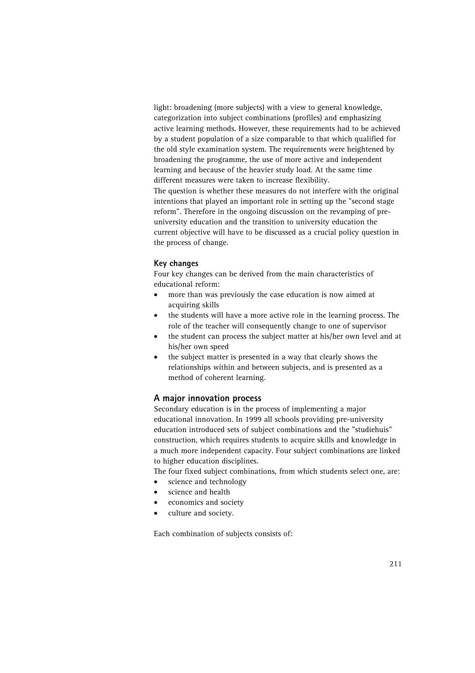light: broadening (more subjects) with a view to general knowledge, categorization into subject combinations (profiles) and emphasizing active learning methods. However, these requirements had to be achieved by a student population of a size comparable to that which qualified for the old style examination system. The requirements were heightened by broadening the programme, the use of more active and independent learning and because of the heavier study load. At the same time different measures were taken to increase flexibility. The question is whether these measures do not interfere with the original intentions that played an important role in setting up the "second stage reform". Therefore in the ongoing discussion on the revamping of pre-

university education and the transition to university education the current objective will have to be discussed as a crucial policy question in the process of change.

#### **Key changes**

Four key changes can be derived from the main characteristics of educational reform:

- more than was previously the case education is now aimed at acquiring skills
- the students will have a more active role in the learning process. The role of the teacher will consequently change to one of supervisor
- the student can process the subject matter at his/her own level and at his/her own speed
- the subject matter is presented in a way that clearly shows the relationships within and between subjects, and is presented as a method of coherent learning.

## **A major innovation process**

Secondary education is in the process of implementing a major educational innovation. In 1999 all schools providing pre-university education introduced sets of subject combinations and the "studiehuis" construction, which requires students to acquire skills and knowledge in a much more independent capacity. Four subject combinations are linked to higher education disciplines.

The four fixed subject combinations, from which students select one, are:

- science and technology
- science and health
- economics and society
- culture and society.

Each combination of subjects consists of: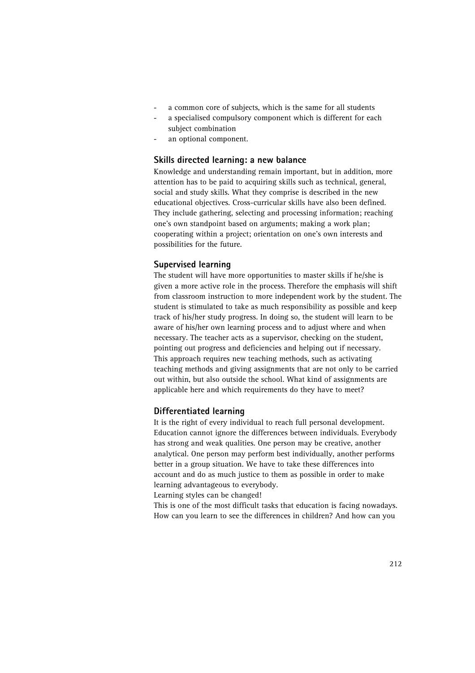- a common core of subjects, which is the same for all students
- a specialised compulsory component which is different for each subject combination
- an optional component.

## **Skills directed learning: a new balance**

Knowledge and understanding remain important, but in addition, more attention has to be paid to acquiring skills such as technical, general, social and study skills. What they comprise is described in the new educational objectives. Cross-curricular skills have also been defined. They include gathering, selecting and processing information; reaching one's own standpoint based on arguments; making a work plan; cooperating within a project; orientation on one's own interests and possibilities for the future.

# **Supervised learning**

The student will have more opportunities to master skills if he/she is given a more active role in the process. Therefore the emphasis will shift from classroom instruction to more independent work by the student. The student is stimulated to take as much responsibility as possible and keep track of his/her study progress. In doing so, the student will learn to be aware of his/her own learning process and to adjust where and when necessary. The teacher acts as a supervisor, checking on the student, pointing out progress and deficiencies and helping out if necessary. This approach requires new teaching methods, such as activating teaching methods and giving assignments that are not only to be carried out within, but also outside the school. What kind of assignments are applicable here and which requirements do they have to meet?

## **Differentiated learning**

It is the right of every individual to reach full personal development. Education cannot ignore the differences between individuals. Everybody has strong and weak qualities. One person may be creative, another analytical. One person may perform best individually, another performs better in a group situation. We have to take these differences into account and do as much justice to them as possible in order to make learning advantageous to everybody.

Learning styles can be changed!

This is one of the most difficult tasks that education is facing nowadays. How can you learn to see the differences in children? And how can you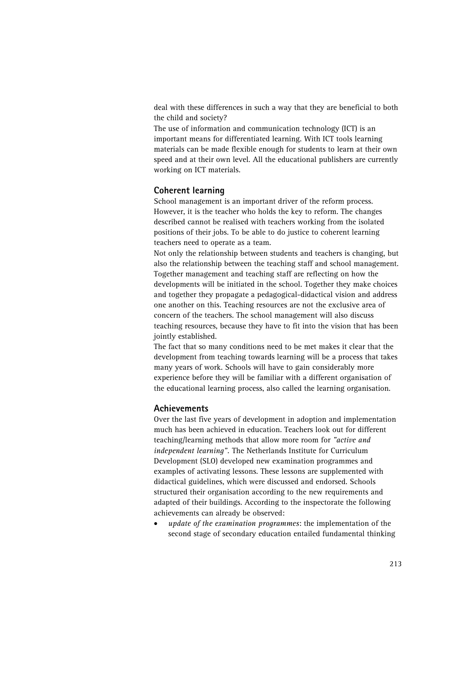deal with these differences in such a way that they are beneficial to both the child and society?

The use of information and communication technology (ICT) is an important means for differentiated learning. With ICT tools learning materials can be made flexible enough for students to learn at their own speed and at their own level. All the educational publishers are currently working on ICT materials.

## **Coherent learning**

School management is an important driver of the reform process. However, it is the teacher who holds the key to reform. The changes described cannot be realised with teachers working from the isolated positions of their jobs. To be able to do justice to coherent learning teachers need to operate as a team.

Not only the relationship between students and teachers is changing, but also the relationship between the teaching staff and school management. Together management and teaching staff are reflecting on how the developments will be initiated in the school. Together they make choices and together they propagate a pedagogical-didactical vision and address one another on this. Teaching resources are not the exclusive area of concern of the teachers. The school management will also discuss teaching resources, because they have to fit into the vision that has been jointly established.

The fact that so many conditions need to be met makes it clear that the development from teaching towards learning will be a process that takes many years of work. Schools will have to gain considerably more experience before they will be familiar with a different organisation of the educational learning process, also called the learning organisation.

#### **Achievements**

Over the last five years of development in adoption and implementation much has been achieved in education. Teachers look out for different teaching/learning methods that allow more room for *"active and independent learning".* The Netherlands Institute for Curriculum Development (SLO) developed new examination programmes and examples of activating lessons. These lessons are supplemented with didactical guidelines, which were discussed and endorsed. Schools structured their organisation according to the new requirements and adapted of their buildings. According to the inspectorate the following achievements can already be observed:

• *update of the examination programmes*: the implementation of the second stage of secondary education entailed fundamental thinking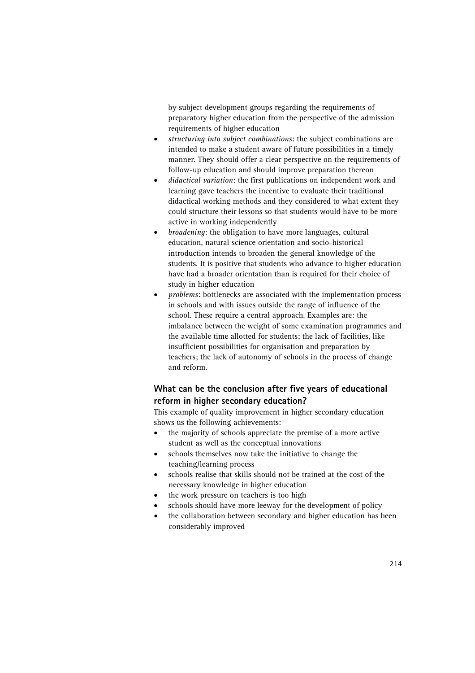by subject development groups regarding the requirements of preparatory higher education from the perspective of the admission requirements of higher education

- *structuring into subject combinations*: the subject combinations are intended to make a student aware of future possibilities in a timely manner. They should offer a clear perspective on the requirements of follow-up education and should improve preparation thereon
- *didactical variation*: the first publications on independent work and learning gave teachers the incentive to evaluate their traditional didactical working methods and they considered to what extent they could structure their lessons so that students would have to be more active in working independently
- *broadening*: the obligation to have more languages, cultural education, natural science orientation and socio-historical introduction intends to broaden the general knowledge of the students. It is positive that students who advance to higher education have had a broader orientation than is required for their choice of study in higher education
- *problems*: bottlenecks are associated with the implementation process in schools and with issues outside the range of influence of the school. These require a central approach. Examples are: the imbalance between the weight of some examination programmes and the available time allotted for students; the lack of facilities, like insufficient possibilities for organisation and preparation by teachers; the lack of autonomy of schools in the process of change and reform.

# **What can be the conclusion after five years of educational reform in higher secondary education?**

This example of quality improvement in higher secondary education shows us the following achievements:

- the majority of schools appreciate the premise of a more active student as well as the conceptual innovations
- schools themselves now take the initiative to change the teaching/learning process
- schools realise that skills should not be trained at the cost of the necessary knowledge in higher education
- the work pressure on teachers is too high
- schools should have more leeway for the development of policy
- the collaboration between secondary and higher education has been considerably improved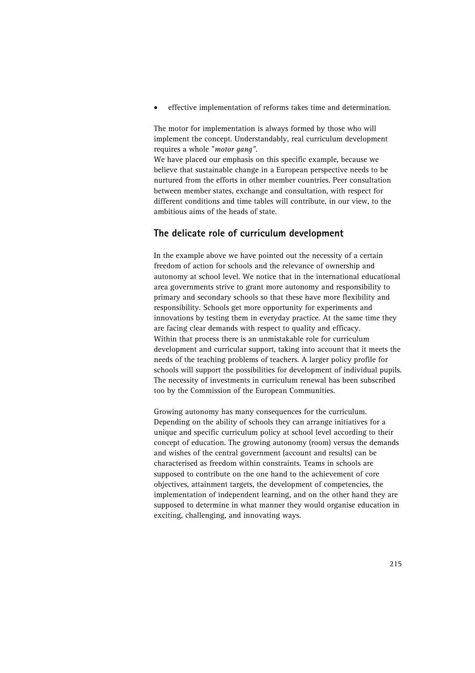• effective implementation of reforms takes time and determination.

The motor for implementation is always formed by those who will implement the concept. Understandably, real curriculum development requires a whole "*motor gang"*.

We have placed our emphasis on this specific example, because we believe that sustainable change in a European perspective needs to be nurtured from the efforts in other member countries. Peer consultation between member states, exchange and consultation, with respect for different conditions and time tables will contribute, in our view, to the ambitious aims of the heads of state.

# **The delicate role of curriculum development**

In the example above we have pointed out the necessity of a certain freedom of action for schools and the relevance of ownership and autonomy at school level. We notice that in the international educational area governments strive to grant more autonomy and responsibility to primary and secondary schools so that these have more flexibility and responsibility. Schools get more opportunity for experiments and innovations by testing them in everyday practice. At the same time they are facing clear demands with respect to quality and efficacy. Within that process there is an unmistakable role for curriculum development and curricular support, taking into account that it meets the needs of the teaching problems of teachers. A larger policy profile for schools will support the possibilities for development of individual pupils. The necessity of investments in curriculum renewal has been subscribed too by the Commission of the European Communities.

Growing autonomy has many consequences for the curriculum. Depending on the ability of schools they can arrange initiatives for a unique and specific curriculum policy at school level according to their concept of education. The growing autonomy (room) versus the demands and wishes of the central government (account and results) can be characterised as freedom within constraints. Teams in schools are supposed to contribute on the one hand to the achievement of core objectives, attainment targets, the development of competencies, the implementation of independent learning, and on the other hand they are supposed to determine in what manner they would organise education in exciting, challenging, and innovating ways.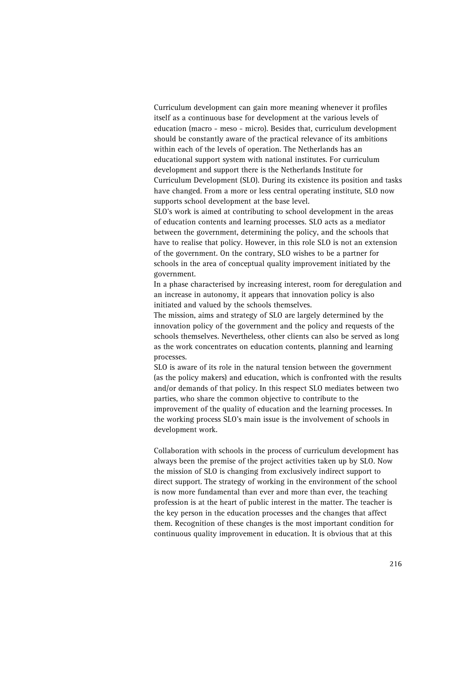Curriculum development can gain more meaning whenever it profiles itself as a continuous base for development at the various levels of education (macro - meso - micro). Besides that, curriculum development should be constantly aware of the practical relevance of its ambitions within each of the levels of operation. The Netherlands has an educational support system with national institutes. For curriculum development and support there is the Netherlands Institute for Curriculum Development (SLO). During its existence its position and tasks have changed. From a more or less central operating institute, SLO now supports school development at the base level.

SLO's work is aimed at contributing to school development in the areas of education contents and learning processes. SLO acts as a mediator between the government, determining the policy, and the schools that have to realise that policy. However, in this role SLO is not an extension of the government. On the contrary, SLO wishes to be a partner for schools in the area of conceptual quality improvement initiated by the government.

In a phase characterised by increasing interest, room for deregulation and an increase in autonomy, it appears that innovation policy is also initiated and valued by the schools themselves.

The mission, aims and strategy of SLO are largely determined by the innovation policy of the government and the policy and requests of the schools themselves. Nevertheless, other clients can also be served as long as the work concentrates on education contents, planning and learning processes.

SLO is aware of its role in the natural tension between the government (as the policy makers) and education, which is confronted with the results and/or demands of that policy. In this respect SLO mediates between two parties, who share the common objective to contribute to the improvement of the quality of education and the learning processes. In the working process SLO's main issue is the involvement of schools in development work.

Collaboration with schools in the process of curriculum development has always been the premise of the project activities taken up by SLO. Now the mission of SLO is changing from exclusively indirect support to direct support. The strategy of working in the environment of the school is now more fundamental than ever and more than ever, the teaching profession is at the heart of public interest in the matter. The teacher is the key person in the education processes and the changes that affect them. Recognition of these changes is the most important condition for continuous quality improvement in education. It is obvious that at this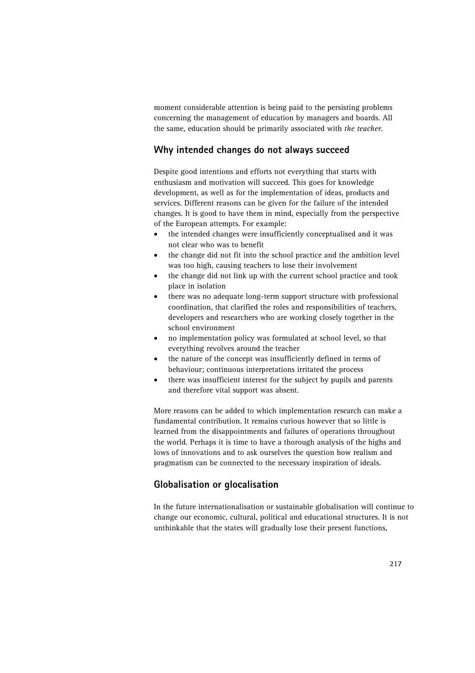moment considerable attention is being paid to the persisting problems concerning the management of education by managers and boards. All the same, education should be primarily associated with *the teacher*.

# **Why intended changes do not always succeed**

Despite good intentions and efforts not everything that starts with enthusiasm and motivation will succeed. This goes for knowledge development, as well as for the implementation of ideas, products and services. Different reasons can be given for the failure of the intended changes. It is good to have them in mind, especially from the perspective of the European attempts. For example:

- the intended changes were insufficiently conceptualised and it was not clear who was to benefit
- the change did not fit into the school practice and the ambition level was too high, causing teachers to lose their involvement
- the change did not link up with the current school practice and took place in isolation
- there was no adequate long-term support structure with professional coordination, that clarified the roles and responsibilities of teachers, developers and researchers who are working closely together in the school environment
- no implementation policy was formulated at school level, so that everything revolves around the teacher
- the nature of the concept was insufficiently defined in terms of behaviour; continuous interpretations irritated the process
- there was insufficient interest for the subject by pupils and parents and therefore vital support was absent.

More reasons can be added to which implementation research can make a fundamental contribution. It remains curious however that so little is learned from the disappointments and failures of operations throughout the world. Perhaps it is time to have a thorough analysis of the highs and lows of innovations and to ask ourselves the question how realism and pragmatism can be connected to the necessary inspiration of ideals.

# **Globalisation or glocalisation**

In the future internationalisation or sustainable globalisation will continue to change our economic, cultural, political and educational structures. It is not unthinkable that the states will gradually lose their present functions,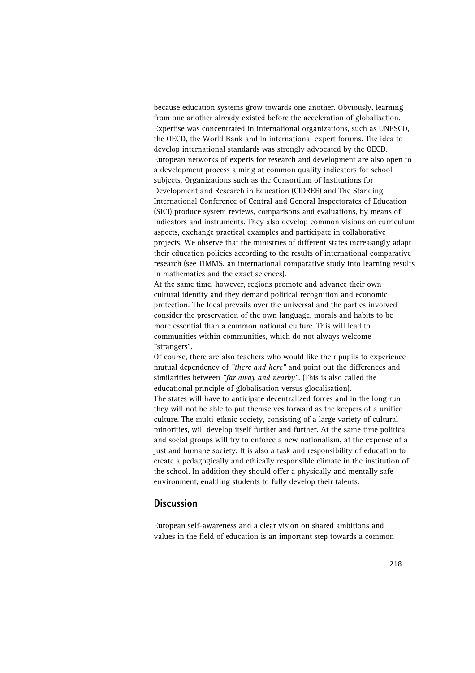because education systems grow towards one another. Obviously, learning from one another already existed before the acceleration of globalisation. Expertise was concentrated in international organizations, such as UNESCO, the OECD, the World Bank and in international expert forums. The idea to develop international standards was strongly advocated by the OECD. European networks of experts for research and development are also open to a development process aiming at common quality indicators for school subjects. Organizations such as the Consortium of Institutions for Development and Research in Education (CIDREE) and The Standing International Conference of Central and General Inspectorates of Education (SICI) produce system reviews, comparisons and evaluations, by means of indicators and instruments. They also develop common visions on curriculum aspects, exchange practical examples and participate in collaborative projects. We observe that the ministries of different states increasingly adapt their education policies according to the results of international comparative research (see TIMMS, an international comparative study into learning results in mathematics and the exact sciences).

At the same time, however, regions promote and advance their own cultural identity and they demand political recognition and economic protection. The local prevails over the universal and the parties involved consider the preservation of the own language, morals and habits to be more essential than a common national culture. This will lead to communities within communities, which do not always welcome "strangers".

Of course, there are also teachers who would like their pupils to experience mutual dependency of *"there and here"* and point out the differences and similarities between *"far away and nearby"*. (This is also called the educational principle of globalisation versus glocalisation).

The states will have to anticipate decentralized forces and in the long run they will not be able to put themselves forward as the keepers of a unified culture. The multi-ethnic society, consisting of a large variety of cultural minorities, will develop itself further and further. At the same time political and social groups will try to enforce a new nationalism, at the expense of a just and humane society. It is also a task and responsibility of education to create a pedagogically and ethically responsible climate in the institution of the school. In addition they should offer a physically and mentally safe environment, enabling students to fully develop their talents.

#### **Discussion**

European self-awareness and a clear vision on shared ambitions and values in the field of education is an important step towards a common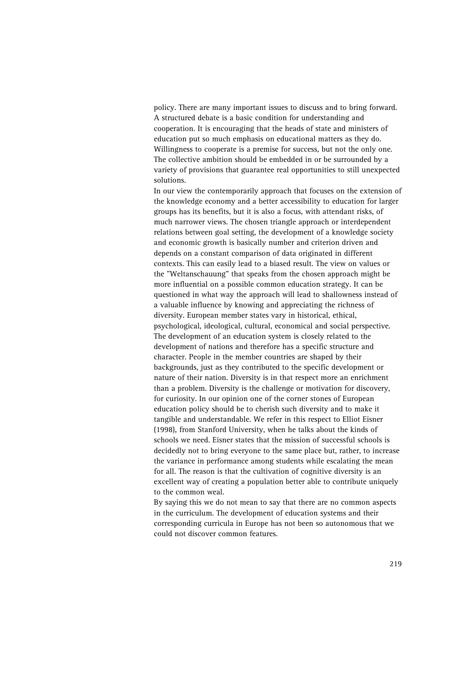policy. There are many important issues to discuss and to bring forward. A structured debate is a basic condition for understanding and cooperation. It is encouraging that the heads of state and ministers of education put so much emphasis on educational matters as they do. Willingness to cooperate is a premise for success, but not the only one. The collective ambition should be embedded in or be surrounded by a variety of provisions that guarantee real opportunities to still unexpected solutions.

In our view the contemporarily approach that focuses on the extension of the knowledge economy and a better accessibility to education for larger groups has its benefits, but it is also a focus, with attendant risks, of much narrower views. The chosen triangle approach or interdependent relations between goal setting, the development of a knowledge society and economic growth is basically number and criterion driven and depends on a constant comparison of data originated in different contexts. This can easily lead to a biased result. The view on values or the "Weltanschauung" that speaks from the chosen approach might be more influential on a possible common education strategy. It can be questioned in what way the approach will lead to shallowness instead of a valuable influence by knowing and appreciating the richness of diversity. European member states vary in historical, ethical, psychological, ideological, cultural, economical and social perspective. The development of an education system is closely related to the development of nations and therefore has a specific structure and character. People in the member countries are shaped by their backgrounds, just as they contributed to the specific development or nature of their nation. Diversity is in that respect more an enrichment than a problem. Diversity is the challenge or motivation for discovery, for curiosity. In our opinion one of the corner stones of European education policy should be to cherish such diversity and to make it tangible and understandable. We refer in this respect to Elliot Eisner (1998), from Stanford University, when he talks about the kinds of schools we need. Eisner states that the mission of successful schools is decidedly not to bring everyone to the same place but, rather, to increase the variance in performance among students while escalating the mean for all. The reason is that the cultivation of cognitive diversity is an excellent way of creating a population better able to contribute uniquely to the common weal.

By saying this we do not mean to say that there are no common aspects in the curriculum. The development of education systems and their corresponding curricula in Europe has not been so autonomous that we could not discover common features.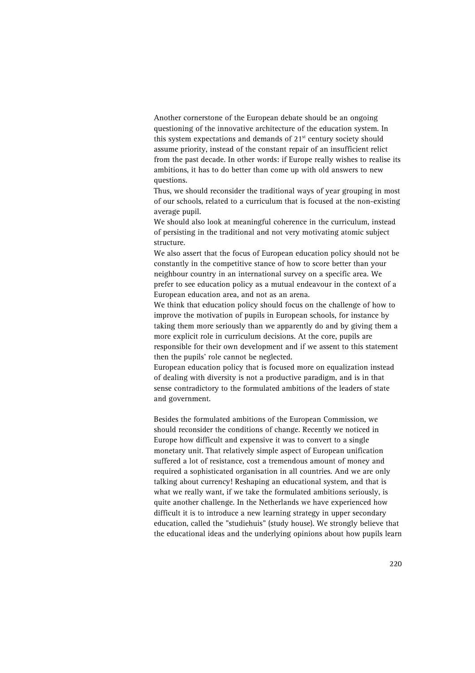Another cornerstone of the European debate should be an ongoing questioning of the innovative architecture of the education system. In this system expectations and demands of  $21<sup>st</sup>$  century society should assume priority, instead of the constant repair of an insufficient relict from the past decade. In other words: if Europe really wishes to realise its ambitions, it has to do better than come up with old answers to new questions.

Thus, we should reconsider the traditional ways of year grouping in most of our schools, related to a curriculum that is focused at the non-existing average pupil.

We should also look at meaningful coherence in the curriculum, instead of persisting in the traditional and not very motivating atomic subject structure.

We also assert that the focus of European education policy should not be constantly in the competitive stance of how to score better than your neighbour country in an international survey on a specific area. We prefer to see education policy as a mutual endeavour in the context of a European education area, and not as an arena.

We think that education policy should focus on the challenge of how to improve the motivation of pupils in European schools, for instance by taking them more seriously than we apparently do and by giving them a more explicit role in curriculum decisions. At the core, pupils are responsible for their own development and if we assent to this statement then the pupils' role cannot be neglected.

European education policy that is focused more on equalization instead of dealing with diversity is not a productive paradigm, and is in that sense contradictory to the formulated ambitions of the leaders of state and government.

Besides the formulated ambitions of the European Commission, we should reconsider the conditions of change. Recently we noticed in Europe how difficult and expensive it was to convert to a single monetary unit. That relatively simple aspect of European unification suffered a lot of resistance, cost a tremendous amount of money and required a sophisticated organisation in all countries. And we are only talking about currency! Reshaping an educational system, and that is what we really want, if we take the formulated ambitions seriously, is quite another challenge. In the Netherlands we have experienced how difficult it is to introduce a new learning strategy in upper secondary education, called the "studiehuis" (study house). We strongly believe that the educational ideas and the underlying opinions about how pupils learn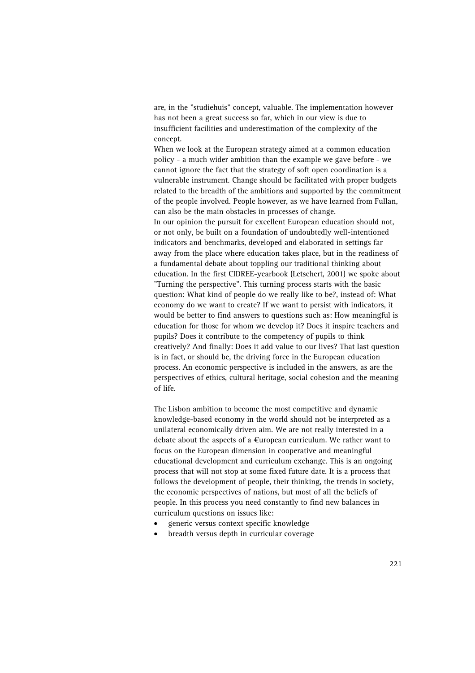are, in the "studiehuis" concept, valuable. The implementation however has not been a great success so far, which in our view is due to insufficient facilities and underestimation of the complexity of the concept.

When we look at the European strategy aimed at a common education policy - a much wider ambition than the example we gave before - we cannot ignore the fact that the strategy of soft open coordination is a vulnerable instrument. Change should be facilitated with proper budgets related to the breadth of the ambitions and supported by the commitment of the people involved. People however, as we have learned from Fullan, can also be the main obstacles in processes of change. In our opinion the pursuit for excellent European education should not, or not only, be built on a foundation of undoubtedly well-intentioned indicators and benchmarks, developed and elaborated in settings far

away from the place where education takes place, but in the readiness of a fundamental debate about toppling our traditional thinking about education. In the first CIDREE-yearbook (Letschert, 2001) we spoke about "Turning the perspective". This turning process starts with the basic question: What kind of people do we really like to be?, instead of: What economy do we want to create? If we want to persist with indicators, it would be better to find answers to questions such as: How meaningful is education for those for whom we develop it? Does it inspire teachers and pupils? Does it contribute to the competency of pupils to think creatively? And finally: Does it add value to our lives? That last question is in fact, or should be, the driving force in the European education process. An economic perspective is included in the answers, as are the perspectives of ethics, cultural heritage, social cohesion and the meaning of life.

The Lisbon ambition to become the most competitive and dynamic knowledge-based economy in the world should not be interpreted as a unilateral economically driven aim. We are not really interested in a debate about the aspects of a  $\epsilon$ uropean curriculum. We rather want to focus on the European dimension in cooperative and meaningful educational development and curriculum exchange. This is an ongoing process that will not stop at some fixed future date. It is a process that follows the development of people, their thinking, the trends in society, the economic perspectives of nations, but most of all the beliefs of people. In this process you need constantly to find new balances in curriculum questions on issues like:

- generic versus context specific knowledge
- breadth versus depth in curricular coverage